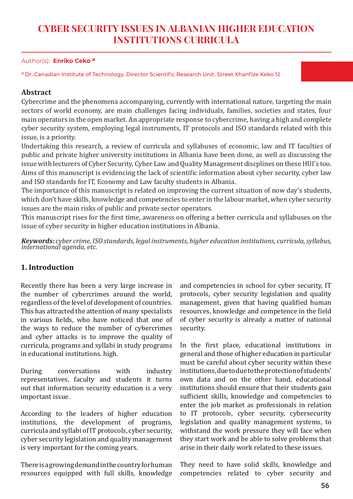# **CYBER SECURITY ISSUES IN ALBANIAN HIGHER EDUCATION INSTITUTIONS CURRICULA**

#### Author(s): **Enriko Ceko a**

a Dr. Canadian Institute of Technology. Director Scientific Research Unit. Street Xhanfize Keko 12

# **Abstract**

Cybercrime and the phenomena accompanying, currently with international nature, targeting the main sectors of world economy, are main challenges facing individuals, families, societies and states, four main operators in the open market. An appropriate response to cybercrime, having a high and complete cyber security system, employing legal instruments, IT protocols and ISO standards related with this issue, is a priority.

Undertaking this research, a review of curricula and syllabuses of economic, law and IT faculties of public and private higher university institutions in Albania have been done, as well as discussing the issue with lecturers of Cyber Security, Cyber Law and Quality Management discplines on these HUI's too. Aims of this manuscript is evidencing the lack of scientific information about cyber security, cyber law and ISO standards for IT, Economy and Law faculty students in Albania.

The importance of this manuscript is related on improving the current situation of now day's students, which don't have skills, knowledge and competencies to enter in the labour market, when cyber security issues are the main risks of public and private sector operators.

This manuscript rises for the first time, awareness on offering a better curricula and syllabuses on the issue of cyber security in higher education institutions in Albania.

*Keywords: cyber crime, ISO standards, legal instruments, higher education institutions, curricula, syllabus, international agenda, etc.*

## **1. Introduction**

Recently there has been a very large increase in the number of cybercrimes around the world, regardless of the level of development of countries. This has attracted the attention of many specialists in various fields, who have noticed that one of the ways to reduce the number of cybercrimes and cyber attacks is to improve the quality of curricula, programs and syllabi in study programs in educational institutions. high.

During conversations with industry representatives, faculty and students it turns out that information security education is a very important issue.

According to the leaders of higher education institutions, the development of programs, curricula and syllabi of IT protocols, cyber security, cyber security legislation and quality management is very important for the coming years.

There is a growing demand in the country for human resources equipped with full skills, knowledge

and competencies in school for cyber security, IT protocols, cyber security legislation and quality management, given that having qualified human resources, knowledge and competence in the field of cyber security is already a matter of national security.

In the first place, educational institutions in general and those of higher education in particular must be careful about cyber security within these institutions, due to due to the protection of students' own data and on the other hand, educational institutions should ensure that their students gain sufficient skills, knowledge and competencies to enter the job market as professionals in relation to IT protocols, cyber security, cybersecurity legislation and quality management systems, to withstand the work pressure they will face when they start work and be able to solve problems that arise in their daily work related to these issues.

They need to have solid skills, knowledge and competencies related to cyber security and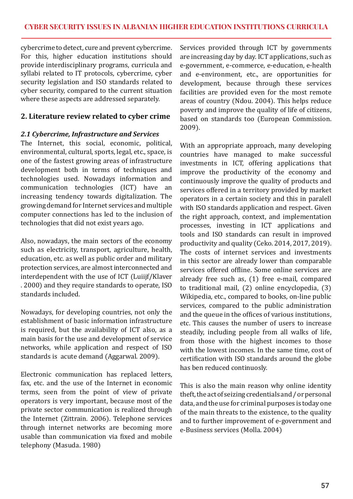cybercrime to detect, cure and prevent cybercrime. For this, higher education institutions should provide interdisciplinary programs, curricula and syllabi related to IT protocols, cybercrime, cyber security legislation and ISO standards related to cyber security, compared to the current situation where these aspects are addressed separately.

# **2. Literature review related to cyber crime**

# *2.1 Cybercrime, Infrastructure and Services*

The Internet, this social, economic, political, environmental, cultural, sports, legal, etc., space, is one of the fastest growing areas of infrastructure development both in terms of techniques and technologies used. Nowadays information and communication technologies (ICT) have an increasing tendency towards digitalization. The growing demand for Internet services and multiple computer connections has led to the inclusion of technologies that did not exist years ago.

Also, nowadays, the main sectors of the economy such as electricity, transport, agriculture, health, education, etc. as well as public order and military protection services, are almost interconnected and interdependent with the use of ICT (Luiijf/Klaver . 2000) and they require standards to operate, ISO standards included.

Nowadays, for developing countries, not only the establishment of basic information infrastructure is required, but the availability of ICT also, as a main basis for the use and development of service networks, while application and respect of ISO standards is acute demand (Aggarwal. 2009).

Electronic communication has replaced letters, fax, etc. and the use of the Internet in economic terms, seen from the point of view of private operators is very important, because most of the private sector communication is realized through the Internet (Zittrain. 2006). Telephone services through internet networks are becoming more usable than communication via fixed and mobile telephony (Masuda. 1980)

Services provided through ICT by governments are increasing day by day. ICT applications, such as e-government, e-commerce, e-education, e-health and e-environment, etc., are opportunities for development, because through these services facilities are provided even for the most remote areas of country (Ndou. 2004). This helps reduce poverty and improve the quality of life of citizens, based on standards too (European Commission. 2009).

With an appropriate approach, many developing countries have managed to make successful investments in ICT, offering applications that improve the productivity of the economy and continuously improve the quality of products and services offered in a territory provided by market operators in a certain society and this in paralell with ISO standards application and respect. Given the right approach, context, and implementation processes, investing in ICT applications and tools and ISO standards can result in improved productivity and quality (Ceko. 2014, 2017, 2019). The costs of internet services and investments in this sector are already lower than comparable services offered offline. Some online services are already free such as, (1) free e-mail, compared to traditional mail, (2) online encyclopedia, (3) Wikipedia, etc., compared to books, on-line public services, compared to the public administration and the queue in the offices of various institutions, etc. This causes the number of users to increase steadily, including people from all walks of life, from those with the highest incomes to those with the lowest incomes. In the same time, cost of certification with ISO standards around the globe has ben reduced continuosly.

This is also the main reason why online identity theft, the act of seizing credentials and / or personal data, and the use for criminal purposes is today one of the main threats to the existence, to the quality and to further improvement of e-government and e-Business services (Molla. 2004)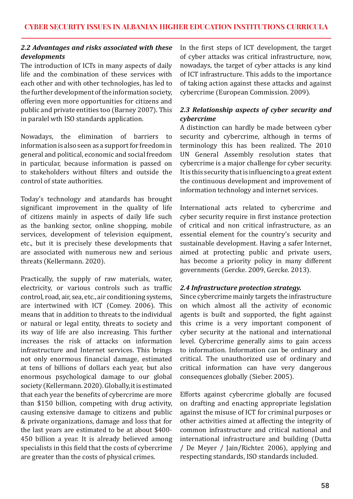# *2.2 Advantages and risks associated with these developments*

The introduction of ICTs in many aspects of daily life and the combination of these services with each other and with other technologies, has led to the further development of the information society, offering even more opportunities for citizens and public and private entities too (Barney 2007). This in paralel wth ISO standards application.

Nowadays, the elimination of barriers to information is also seen as a support for freedom in general and political, economic and social freedom in particular, because information is passed on to stakeholders without filters and outside the control of state authorities.

Today's technology and atandards has brought significant improvement in the quality of life of citizens mainly in aspects of daily life such as the banking sector, online shopping, mobile services, development of television equipment, etc., but it is precisely these developments that are associated with numerous new and serious threats (Kellermann. 2020).

Practically, the supply of raw materials, water, electricity, or various controls such as traffic control, road, air, sea, etc., air conditioning systems, are intertwined with ICT (Comey. 2006). This means that in addition to threats to the individual or natural or legal entity, threats to society and its way of life are also increasing. This further increases the risk of attacks on information infrastructure and Internet services. This brings not only enormous financial damage, estimated at tens of billions of dollars each year, but also enormous psychological damage to our global society (Kellermann. 2020). Globally, it is estimated that each year the benefits of cybercrime are more than \$150 billion, competing with drug activity, causing extensive damage to citizens and public & private organizations, damage and loss that for the last years are estimated to be at about \$400- 450 billion a year. It is already believed among specialists in this field that the costs of cybercrime are greater than the costs of physical crimes.

In the first steps of ICT development, the target of cyber attacks was critical infrastructure, now, nowadays, the target of cyber attacks is any kind of ICT infrastructure. This adds to the importance of taking action against these attacks and against cybercrime (European Commission. 2009).

# *2.3 Relationship aspects of cyber security and cybercrime*

A distinction can hardly be made between cyber security and cybercrime, although in terms of terminology this has been realized. The 2010 UN General Assembly resolution states that cybercrime is a major challenge for cyber security. It is this security that is influencing to a great extent the continuous development and improvement of information technology and internet services.

International acts related to cybercrime and cyber security require in first instance protection of critical and non critical infrastructure, as an essential element for the country's security and sustainable development. Having a safer Internet, aimed at protecting public and private users, has become a priority policy in many different governments (Gercke. 2009, Gercke. 2013).

## *2.4 Infrastructure protection strategy.*

Since cybercrime mainly targets the infrastructure on which almost all the activity of economic agents is built and supported, the fight against this crime is a very important component of cyber security at the national and international level. Cybercrime generally aims to gain access to information. Information can be ordinary and critical. The unauthorized use of ordinary and critical information can have very dangerous consequences globally (Sieber. 2005).

Efforts against cybercrime globally are focused on drafting and enacting appropriate legislation against the misuse of ICT for criminal purposes or other activities aimed at affecting the integrity of common infrastructure and critical national and international infrastructure and building (Dutta / De Meyer / Jain/Richter. 2006), applying and respecting standards, ISO standards included.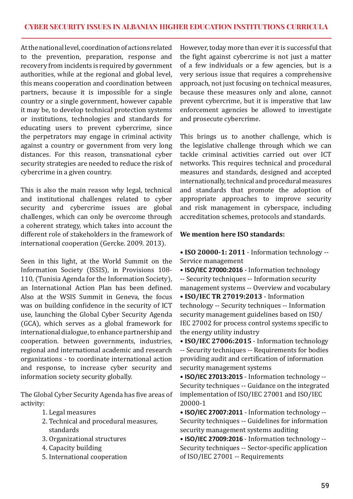At the national level, coordination of actions related to the prevention, preparation, response and recovery from incidents is required by government authorities, while at the regional and global level, this means cooperation and coordination between partners, because it is impossible for a single country or a single government, however capable it may be, to develop technical protection systems or institutions, technologies and standards for educating users to prevent cybercrime, since the perpetrators may engage in criminal activity against a country or government from very long distances. For this reason, transnational cyber security strategies are needed to reduce the risk of cybercrime in a given country.

This is also the main reason why legal, technical and institutional challenges related to cyber security and cybercrime issues are global challenges, which can only be overcome through a coherent strategy, which takes into account the different role of stakeholders in the framework of international cooperation (Gercke. 2009. 2013).

Seen in this light, at the World Summit on the Information Society (ISSIS), in Provisions 108- 110, (Tunisia Agenda for the Information Society), an International Action Plan has been defined. Also at the WSIS Summit in Geneva, the focus was on building confidence in the security of ICT use, launching the Global Cyber Security Agenda (GCA), which serves as a global framework for international dialogue, to enhance partnership and cooperation. between governments, industries, regional and international academic and research organizations - to coordinate international action and response, to increase cyber security and information society security globally.

The Global Cyber Security Agenda has five areas of activity:

- 1. Legal measures
- 2. Technical and procedural measures, standards
- 3. Organizational structures
- 4. Capacity building
- 5. International cooperation

However, today more than ever it is successful that the fight against cybercrime is not just a matter of a few individuals or a few agencies, but is a very serious issue that requires a comprehensive approach, not just focusing on technical measures, because these measures only and alone, cannot prevent cybercrime, but it is imperative that law enforcement agencies be allowed to investigate and prosecute cybercrime.

This brings us to another challenge, which is the legislative challenge through which we can tackle criminal activities carried out over ICT networks. This requires technical and procedural measures and standards, designed and accepted internationally, technical and procedural measures and standards that promote the adoption of appropriate approaches to improve security and risk management in cyberspace, including accreditation schemes, protocols and standards.

# **We mention here ISO standards:**

• **ISO 20000-1: 2011** - Information technology -- Service management

• **ISO/IEC 27000:2016** - Information technology -- Security techniques -- Information security management systems -- Overview and vocabulary • **ISO/IEC TR 27019:2013** - Information technology -- Security techniques -- Information security management guidelines based on ISO/ IEC 27002 for process control systems specific to the energy utility industry

• **ISO/IEC 27006:2015** - Information technology -- Security techniques -- Requirements for bodies providing audit and certification of information security management systems

• **ISO/IEC 27013:2015** - Information technology -- Security techniques -- Guidance on the integrated implementation of ISO/IEC 27001 and ISO/IEC 20000-1

• **ISO/IEC 27007:2011** - Information technology -- Security techniques -- Guidelines for information security management systems auditing

• **ISO/IEC 27009:2016** - Information technology -- Security techniques -- Sector-specific application of ISO/IEC 27001 -- Requirements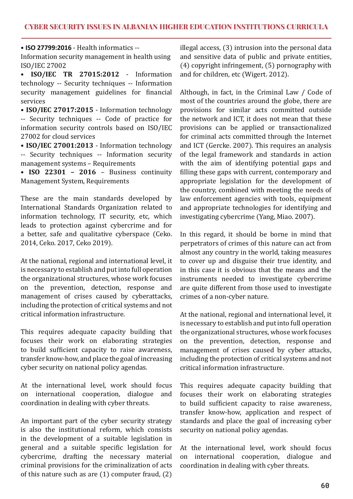### **CYBER SECURITY ISSUES IN ALBANIAN HIGHER EDUCATION INSTITUTIONS CURRICULA**

• **ISO 27799:2016** - Health informatics --

Information security management in health using ISO/IEC 27002

• **ISO/IEC TR 27015:2012** - Information technology -- Security techniques -- Information security management guidelines for financial services

• **ISO/IEC 27017:2015** - Information technology -- Security techniques -- Code of practice for information security controls based on ISO/IEC 27002 for cloud services

• **ISO/IEC 27001:2013** - Information technology -- Security techniques -- Information security management systems – Requirements

• **ISO 22301 – 2016** – Business continuity Management System, Requirements

These are the main standards developed by International Standards Organization related to information technology, IT security, etc, which leads to protection against cybercrime and for a better, safe and qualitative cyberspace (Ceko. 2014, Ceko. 2017, Ceko 2019).

At the national, regional and international level, it is necessary to establish and put into full operation the organizational structures, whose work focuses on the prevention, detection, response and management of crises caused by cyberattacks, including the protection of critical systems and not critical information infrastructure.

This requires adequate capacity building that focuses their work on elaborating strategies to build sufficient capacity to raise awareness, transfer know-how, and place the goal of increasing cyber security on national policy agendas.

At the international level, work should focus<br>on international cooperation, dialogue and on international cooperation, dialogue coordination in dealing with cyber threats.

An important part of the cyber security strategy is also the institutional reform, which consists in the development of a suitable legislation in general and a suitable specific legislation for cybercrime, drafting the necessary material criminal provisions for the criminalization of acts of this nature such as are (1) computer fraud, (2) illegal access, (3) intrusion into the personal data and sensitive data of public and private entities, (4) copyright infringement, (5) pornography with and for children, etc (Wigert. 2012).

Although, in fact, in the Criminal Law / Code of most of the countries around the globe, there are provisions for similar acts committed outside the network and ICT, it does not mean that these provisions can be applied or transactionalized for criminal acts committed through the Internet and ICT (Gercke. 2007). This requires an analysis of the legal framework and standards in action with the aim of identifying potential gaps and filling these gaps with current, contemporary and appropriate legislation for the development of the country, combined with meeting the needs of law enforcement agencies with tools, equipment and appropriate technologies for identifying and investigating cybercrime (Yang, Miao. 2007).

In this regard, it should be borne in mind that perpetrators of crimes of this nature can act from almost any country in the world, taking measures to cover up and disguise their true identity, and in this case it is obvious that the means and the instruments needed to investigate cybercrime are quite different from those used to investigate crimes of a non-cyber nature.

At the national, regional and international level, it is necessary to establish and put into full operation the organizational structures, whose work focuses on the prevention, detection, response and management of crises caused by cyber attacks, including the protection of critical systems and not critical information infrastructure.

This requires adequate capacity building that focuses their work on elaborating strategies to build sufficient capacity to raise awareness, transfer know-how, application and respect of standards and place the goal of increasing cyber security on national policy agendas.

At the international level, work should focus<br>on international cooperation, dialogue and on international cooperation, dialogue coordination in dealing with cyber threats.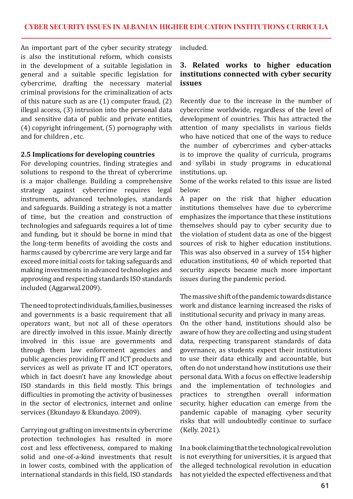An important part of the cyber security strategy is also the institutional reform, which consists in the development of a suitable legislation in general and a suitable specific legislation for cybercrime, drafting the necessary material criminal provisions for the criminalization of acts of this nature such as are (1) computer fraud, (2) illegal access, (3) intrusion into the personal data and sensitive data of public and private entities, (4) copyright infringement, (5) pornography with and for children , etc.

#### **2.5 Implications for developing countries**

For developing countries, finding strategies and solutions to respond to the threat of cybercrime is a major challenge. Building a comprehensive strategy against cybercrime requires legal instruments, advanced technologies, standards and safeguards. Building a strategy is not a matter of time, but the creation and construction of technologies and safeguards requires a lot of time and funding, but it should be borne in mind that the long-term benefits of avoiding the costs and harms caused by cybercrime are very large and far exceed more initial costs for taking safeguards and making investments in advanced technologies and approving and respecting standards ISO standards included (Aggarwal.2009).

The need to protect individuals, families, businesses and governments is a basic requirement that all operators want, but not all of these operators are directly involved in this issue. Mainly directly involved in this issue are governments and through them law enforcement agencies and public agencies providing IT and ICT products and services as well as private IT and ICT operators, which in fact doesn't have any knowledge about ISO standards in this field mostly. This brings difficulties in promoting the activity of businesses in the sector of electronics, internet and online services (Ekundayo & Ekundayo. 2009).

Carrying out grafting on investments in cybercrime protection technologies has resulted in more cost and less effectiveness, compared to making solid and one-of-a-kind investments that result in lower costs, combined with the application of international standards in this field, ISO standards

included.

# **3. Related works to higher education institutions connected with cyber security issues**

Recently due to the increase in the number of cybercrime worldwide, regardless of the level of development of countries. This has attracted the attention of many specialists in various fields who have noticed that one of the ways to reduce the number of cybercrimes and cyber-attacks is to improve the quality of curricula, programs and syllabi in study programs in educational institutions. up.

Some of the works related to this issue are listed below:

A paper on the risk that higher education institutions themselves have due to cybercrime emphasizes the importance that these institutions themselves should pay to cyber security due to the violation of student data as one of the biggest sources of risk to higher education institutions. This was also observed in a survey of 154 higher education institutions, 40 of which reported that security aspects became much more important issues during the pandemic period.

The massive shift of the pandemic towards distance work and distance learning increased the risks of institutional security and privacy in many areas. On the other hand, institutions should also be aware of how they are collecting and using student data, respecting transparent standards of data governance, as students expect their institutions to use their data ethically and accountable, but often do not understand how institutions use their personal data. With a focus on effective leadership and the implementation of technologies and practices to strengthen overall information security, higher education can emerge from the pandemic capable of managing cyber security risks that will undoubtedly continue to surface (Kelly. 2021).

In a book claiming that the technological revolution is not everything for universities, it is argued that the alleged technological revolution in education has not yielded the expected effectiveness and that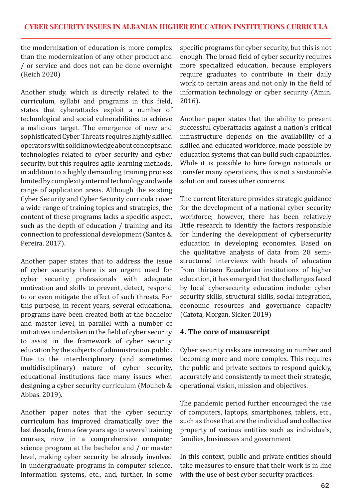the modernization of education is more complex than the modernization of any other product and / or service and does not can be done overnight (Reich 2020)

Another study, which is directly related to the curriculum, syllabi and programs in this field, states that cyberattacks exploit a number of technological and social vulnerabilities to achieve a malicious target. The emergence of new and sophisticated Cyber Threats requires highly skilled operators with solid knowledge about concepts and technologies related to cyber security and cyber security, but this requires agile learning methods, in addition to a highly demanding training process limited by complexity internal technology and wide range of application areas. Although the existing Cyber Security and Cyber Security curricula cover a wide range of training topics and strategies, the content of these programs lacks a specific aspect, such as the depth of education / training and its connection to professional development (Santos & Pereira. 2017).

Another paper states that to address the issue of cyber security there is an urgent need for cyber security professionals with adequate motivation and skills to prevent, detect, respond to or even mitigate the effect of such threats. For this purpose, in recent years, several educational programs have been created both at the bachelor and master level, in parallel with a number of initiatives undertaken in the field of cyber security to assist in the framework of cyber security education by the subjects of administration. public. Due to the interdisciplinary (and sometimes multidisciplinary) nature of cyber security, educational institutions face many issues when designing a cyber security curriculum (Mouheb & Abbas. 2019).

Another paper notes that the cyber security curriculum has improved dramatically over the last decade, from a few years ago to several training courses, now in a comprehensive computer science program at the bachelor and / or master level, making cyber security be already involved in undergraduate programs in computer science, information systems, etc., and, further, in some specific programs for cyber security, but this is not enough. The broad field of cyber security requires more specialized education, because employers require graduates to contribute in their daily work to certain areas and not only in the field of information technology or cyber security (Amin. 2016).

Another paper states that the ability to prevent successful cyberattacks against a nation's critical infrastructure depends on the availability of a skilled and educated workforce, made possible by education systems that can build such capabilities. While it is possible to hire foreign nationals or transfer many operations, this is not a sustainable solution and raises other concerns.

The current literature provides strategic guidance for the development of a national cyber security workforce; however, there has been relatively little research to identify the factors responsible for hindering the development of cybersecurity education in developing economies. Based on the qualitative analysis of data from 28 semistructured interviews with heads of education from thirteen Ecuadorian institutions of higher education, it has emerged that the challenges faced by local cybersecurity education include: cyber security skills, structural skills, social integration, economic resources and governance capacity (Catota, Morgan, Sicker. 2019)

# **4. The core of manuscript**

Cyber security risks are increasing in number and becoming more and more complex. This requires the public and private sectors to respond quickly, accurately and consistently to meet their strategic, operational vision, mission and objectives.

The pandemic period further encouraged the use of computers, laptops, smartphones, tablets, etc., such as those that are the individual and collective property of various entities such as individuals, families, businesses and government

In this context, public and private entities should take measures to ensure that their work is in line with the use of best cyber security practices.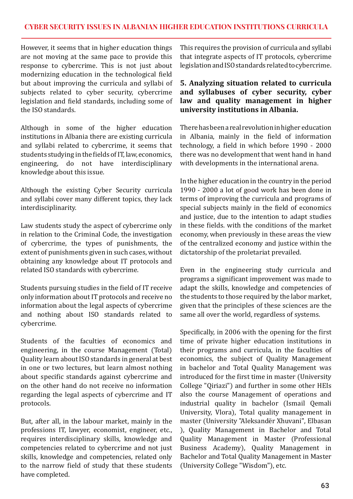# **CYBER SECURITY ISSUES IN ALBANIAN HIGHER EDUCATION INSTITUTIONS CURRICULA**

However, it seems that in higher education things are not moving at the same pace to provide this response to cybercrime. This is not just about modernizing education in the technological field but about improving the curricula and syllabi of subjects related to cyber security, cybercrime legislation and field standards, including some of the ISO standards.

Although in some of the higher education institutions in Albania there are existing curricula and syllabi related to cybercrime, it seems that students studying in the fields of IT, law, economics,<br>engineering, do not have interdisciplinary do not have knowledge about this issue.

Although the existing Cyber Security curricula and syllabi cover many different topics, they lack interdisciplinarity.

Law students study the aspect of cybercrime only in relation to the Criminal Code, the investigation of cybercrime, the types of punishments, the extent of punishments given in such cases, without obtaining any knowledge about IT protocols and related ISO standards with cybercrime.

Students pursuing studies in the field of IT receive only information about IT protocols and receive no information about the legal aspects of cybercrime and nothing about ISO standards related to cybercrime.

Students of the faculties of economics and engineering, in the course Management (Total) Quality learn about ISO standards in general at best in one or two lectures, but learn almost nothing about specific standards against cybercrime and on the other hand do not receive no information regarding the legal aspects of cybercrime and IT protocols.

But, after all, in the labour market, mainly in the professions IT, lawyer, economist, engineer, etc., requires interdisciplinary skills, knowledge and competencies related to cybercrime and not just skills, knowledge and competencies, related only to the narrow field of study that these students have completed.

This requires the provision of curricula and syllabi that integrate aspects of IT protocols, cybercrime legislation and ISO standards related to cybercrime.

## **5. Analyzing situation related to curricula and syllabuses of cyber security, cyber law and quality management in higher university institutions in Albania.**

There has been a real revolution in higher education in Albania, mainly in the field of information technology, a field in which before 1990 - 2000 there was no development that went hand in hand with developments in the international arena.

In the higher education in the country in the period 1990 - 2000 a lot of good work has been done in terms of improving the curricula and programs of special subjects mainly in the field of economics and justice, due to the intention to adapt studies in these fields. with the conditions of the market economy, when previously in these areas the view of the centralized economy and justice within the dictatorship of the proletariat prevailed.

Even in the engineering study curricula and programs a significant improvement was made to adapt the skills, knowledge and competencies of the students to those required by the labor market, given that the principles of these sciences are the same all over the world, regardless of systems.

Specifically, in 2006 with the opening for the first time of private higher education institutions in their programs and curricula, in the faculties of economics, the subject of Quality Management in bachelor and Total Quality Management was introduced for the first time in master (University College "Qiriazi") and further in some other HEIs also the course Management of operations and industrial quality in bachelor (Ismail Qemali University, Vlora), Total quality management in master (University "Aleksandër Xhuvani", Elbasan ), Quality Management in Bachelor and Total Quality Management in Master (Professional Business Academy), Quality Management in Bachelor and Total Quality Management in Master (University College "Wisdom"), etc.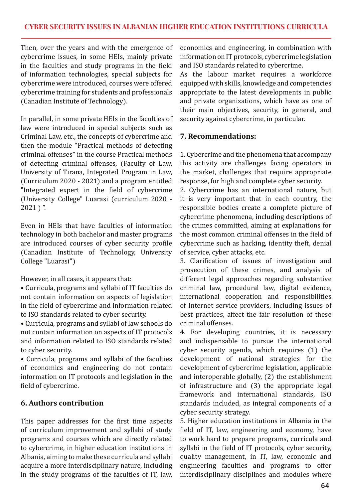Then, over the years and with the emergence of cybercrime issues, in some HEIs, mainly private in the faculties and study programs in the field of information technologies, special subjects for cybercrime were introduced, courses were offered cybercrime training for students and professionals (Canadian Institute of Technology).

In parallel, in some private HEIs in the faculties of law were introduced in special subjects such as Criminal Law, etc., the concepts of cybercrime and then the module "Practical methods of detecting criminal offenses" in the course Practical methods of detecting criminal offenses, (Faculty of Law, University of Tirana, Integrated Program in Law, (Curriculum 2020 - 2021) and a program entitled "Integrated expert in the field of cybercrime (University College" Luarasi (curriculum 2020 - 2021 ) ".

Even in HEIs that have faculties of information technology in both bachelor and master programs are introduced courses of cyber security profile (Canadian Institute of Technology, University College "Luarasi")

However, in all cases, it appears that:

• Curricula, programs and syllabi of IT faculties do not contain information on aspects of legislation in the field of cybercrime and information related to ISO standards related to cyber security.

• Curricula, programs and syllabi of law schools do not contain information on aspects of IT protocols and information related to ISO standards related to cyber security.

• Curricula, programs and syllabi of the faculties of economics and engineering do not contain information on IT protocols and legislation in the field of cybercrime.

# **6. Authors contribution**

This paper addresses for the first time aspects of curriculum improvement and syllabi of study programs and courses which are directly related to cybercrime, in higher education institutions in Albania, aiming to make these curricula and syllabi acquire a more interdisciplinary nature, including in the study programs of the faculties of IT, law, economics and engineering, in combination with information on IT protocols, cybercrime legislation and ISO standards related to cybercrime.

As the labour market requires a workforce equipped with skills, knowledge and competencies appropriate to the latest developments in public and private organizations, which have as one of their main objectives, security, in general, and security against cybercrime, in particular.

# **7. Recommendations:**

1. Cybercrime and the phenomena that accompany this activity are challenges facing operators in the market, challenges that require appropriate response, for high and complete cyber security.

2. Cybercrime has an international nature, but it is very important that in each country, the responsible bodies create a complete picture of cybercrime phenomena, including descriptions of the crimes committed, aiming at explanations for the most common criminal offenses in the field of cybercrime such as hacking, identity theft, denial of service, cyber attacks, etc.

3. Clarification of issues of investigation and prosecution of these crimes, and analysis of different legal approaches regarding substantive criminal law, procedural law, digital evidence, international cooperation and responsibilities of Internet service providers, including issues of best practices, affect the fair resolution of these criminal offenses.

4. For developing countries, it is necessary and indispensable to pursue the international cyber security agenda, which requires (1) the development of national strategies for the development of cybercrime legislation, applicable and interoperable globally, (2) the establishment of infrastructure and (3) the appropriate legal framework and international standards, ISO standards included, as integral components of a cyber security strategy.

5. Higher education institutions in Albania in the field of IT, law, engineering and economy, have to work hard to prepare programs, curricula and syllabi in the field of IT protocols, cyber security, quality management, in IT, law, economic and engineering faculties and programs to offer interdisciplinary disciplines and modules where